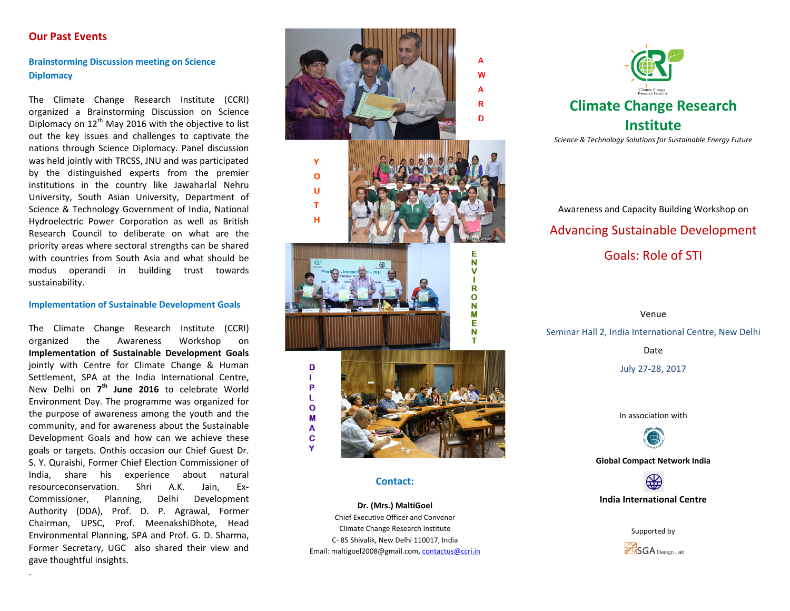# **Our Past Events**

**Brainstorming Discussion meeting on Science Diplomacy**

The Climate Change Research Institute (CCRI) organized a Brainstorming Discussion on Science Diplomacy on  $12<sup>th</sup>$  May 2016 with the objective to list out the key issues and challenges to captivate the nations through Science Diplomacy. Panel discussion was held jointly with TRCSS, JNU and was participated by the distinguished experts from the premier institutions in the country like Jawaharlal Nehru University, South Asian University, Department of Science & Technology Government of India, National Hydroelectric Power Corporation as well as British Research Council to deliberate on what are the priority areas where sectoral strengths can be shared with countries from South Asia and what should be modus operandi in building trust towards sustainability.

### **Implementation of Sustainable Development Goals**

The Climate Change Research Institute (CCRI) organized the Awareness Workshop on **Implementation of Sustainable Development Goals**  jointly with Centre for Climate Change & Human Settlement, SPA at the India International Centre, New Delhi on **7th June 2016** to celebrate World Environment Day. The programme was organized for the purpose of awareness among the youth and the community, and for awareness about the Sustainable Development Goals and how can we achieve these goals or targets. Onthis occasion our Chief Guest Dr. S. Y. Quraishi, Former Chief Election Commissioner of India, share his experience about natural resourceconservation. Shri A.K. Jain, Ex-Commissioner, Planning, Delhi Development Authority (DDA), Prof. D. P. Agrawal, Former Chairman, UPSC, Prof. MeenakshiDhote, Head Environmental Planning, SPA and Prof. G. D. Sharma, Former Secretary, UGC also shared their view and gave thoughtful insights.

.



## **Contact:**

**Dr. (Mrs.) MaltiGoel** Chief Executive Officer and Convener Climate Change Research Institute C- 85 Shivalik, New Delhi 110017, India Email: maltigoel2008@gmail.com[, contactus@ccri.in](mailto:contactus@ccri.in)



Awareness and Capacity Building Workshop on Advancing Sustainable Development Goals: Role of STI

Venue Seminar Hall 2, India International Centre, New Delhi Date July 27-28, 2017

In association with



**Global Compact Network India**



Supported by